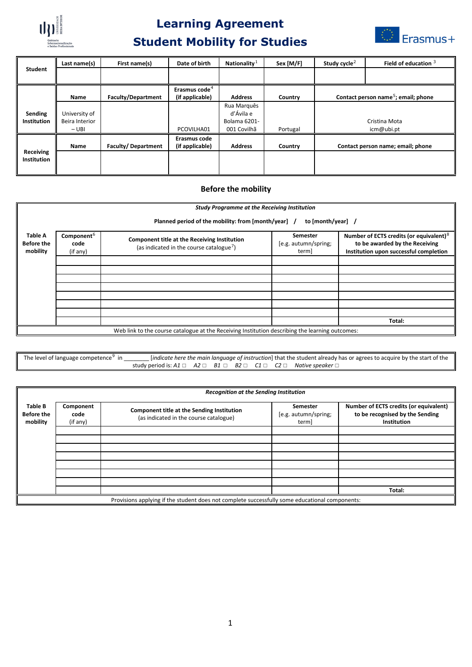

## **Learning Agreement Student Mobility for Studies**



|                  | Last name(s)   | First name(s)             | Date of birth                                | Nationality $1$ | Sex [M/F] | Study cycle <sup>2</sup>                        | Field of education $3$            |
|------------------|----------------|---------------------------|----------------------------------------------|-----------------|-----------|-------------------------------------------------|-----------------------------------|
| <b>Student</b>   |                |                           |                                              |                 |           |                                                 |                                   |
|                  | <b>Name</b>    | <b>Faculty/Department</b> | Erasmus code <sup>4</sup><br>(if applicable) | <b>Address</b>  | Country   | Contact person name <sup>5</sup> ; email; phone |                                   |
|                  |                |                           |                                              | Rua Marguês     |           |                                                 |                                   |
| Sending          | University of  |                           |                                              | d'Ávila e       |           |                                                 |                                   |
| Institution      | Beira Interior |                           |                                              | Bolama 6201-    |           | Cristina Mota<br>icm@ubi.pt                     |                                   |
|                  | $-$ UBI        |                           | PCOVILHA01                                   | 001 Covilhã     | Portugal  |                                                 |                                   |
|                  |                |                           | Erasmus code                                 |                 |           |                                                 |                                   |
|                  | <b>Name</b>    | Faculty/Department        | (if applicable)                              | <b>Address</b>  | Country   |                                                 | Contact person name; email; phone |
| <b>Receiving</b> |                |                           |                                              |                 |           |                                                 |                                   |
| Institution      |                |                           |                                              |                 |           |                                                 |                                   |
|                  |                |                           |                                              |                 |           |                                                 |                                   |

## **Before the mobility**

|                                                 | <b>Study Programme at the Receiving Institution</b><br>Planned period of the mobility: from [month/year] /<br>to [month/year] / |                                                                                                      |                                           |                                                                                                                        |  |  |  |
|-------------------------------------------------|---------------------------------------------------------------------------------------------------------------------------------|------------------------------------------------------------------------------------------------------|-------------------------------------------|------------------------------------------------------------------------------------------------------------------------|--|--|--|
| <b>Table A</b><br><b>Before the</b><br>mobility | Component <sup>6</sup><br>code<br>(if any)                                                                                      | Component title at the Receiving Institution<br>(as indicated in the course catalogue <sup>7</sup> ) | Semester<br>[e.g. autumn/spring;<br>term] | Number of ECTS credits (or equivalent) $8$<br>to be awarded by the Receiving<br>Institution upon successful completion |  |  |  |
|                                                 |                                                                                                                                 |                                                                                                      |                                           |                                                                                                                        |  |  |  |
|                                                 |                                                                                                                                 |                                                                                                      |                                           |                                                                                                                        |  |  |  |
|                                                 |                                                                                                                                 |                                                                                                      |                                           |                                                                                                                        |  |  |  |
|                                                 |                                                                                                                                 |                                                                                                      |                                           |                                                                                                                        |  |  |  |
|                                                 |                                                                                                                                 |                                                                                                      |                                           | Total:                                                                                                                 |  |  |  |
|                                                 |                                                                                                                                 | Web link to the course catalogue at the Receiving Institution describing the learning outcomes:      |                                           |                                                                                                                        |  |  |  |

The level of language competence<sup>[9](#page-1-8)</sup> in \_\_\_\_\_\_\_\_\_ [*indicate here the main language of instruction*] that the student already has or agrees to acquire by the start of the study period is: *A1* □ *A2* □ *B1* □ *B2* □ *C1* □ *C2* □ *Native speaker* □

|                                                                                                | <b>Recognition at the Sending Institution</b> |                                                                                      |                                           |                                                                                          |  |  |
|------------------------------------------------------------------------------------------------|-----------------------------------------------|--------------------------------------------------------------------------------------|-------------------------------------------|------------------------------------------------------------------------------------------|--|--|
| Table B<br><b>Before the</b><br>mobility                                                       | Component<br>code<br>(if any)                 | Component title at the Sending Institution<br>(as indicated in the course catalogue) | Semester<br>[e.g. autumn/spring;<br>term] | Number of ECTS credits (or equivalent)<br>to be recognised by the Sending<br>Institution |  |  |
|                                                                                                |                                               |                                                                                      |                                           |                                                                                          |  |  |
|                                                                                                |                                               |                                                                                      |                                           |                                                                                          |  |  |
|                                                                                                |                                               |                                                                                      |                                           |                                                                                          |  |  |
|                                                                                                |                                               |                                                                                      |                                           |                                                                                          |  |  |
|                                                                                                |                                               |                                                                                      |                                           |                                                                                          |  |  |
|                                                                                                |                                               |                                                                                      |                                           | Total:                                                                                   |  |  |
| Provisions applying if the student does not complete successfully some educational components: |                                               |                                                                                      |                                           |                                                                                          |  |  |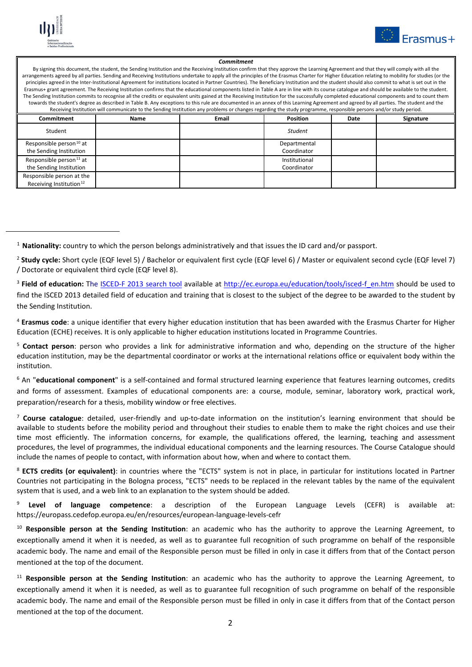

<span id="page-1-0"></span>l



## *Commitment*

By signing this document, the student, the Sending Institution and the Receiving Institution confirm that they approve the Learning Agreement and that they will comply with all the arrangements agreed by all parties. Sending and Receiving Institutions undertake to apply all the principles of the Erasmus Charter for Higher Education relating to mobility for studies (or the principles agreed in the Inter-Institutional Agreement for institutions located in Partner Countries). The Beneficiary Institution and the student should also commit to what is set out in the Erasmus+ grant agreement. The Receiving Institution confirms that the educational components listed in Table A are in line with its course catalogue and should be available to the student. The Sending Institution commits to recognise all the credits or equivalent units gained at the Receiving Institution for the successfully completed educational components and to count them towards the student's degree as described in Table B. Any exceptions to this rule are documented in an annex of this Learning Agreement and agreed by all parties. The student and the Receiving Institution will communicate to the Sending Institution any problems or changes regarding the study programme, responsible persons and/or study period.

| Commitment                                                       | Name | <b>Email</b> | <b>Position</b>              | Date | Signature |
|------------------------------------------------------------------|------|--------------|------------------------------|------|-----------|
| Student                                                          |      |              | <b>Student</b>               |      |           |
| Responsible person <sup>10</sup> at<br>the Sending Institution   |      |              | Departmental<br>Coordinator  |      |           |
| Responsible person <sup>11</sup> at<br>the Sending Institution   |      |              | Institutional<br>Coordinator |      |           |
| Responsible person at the<br>Receiving Institution <sup>12</sup> |      |              |                              |      |           |

<span id="page-1-3"></span><sup>4</sup> **Erasmus code**: a unique identifier that every higher education institution that has been awarded with the Erasmus Charter for Higher Education (ECHE) receives. It is only applicable to higher education institutions located in Programme Countries.

<span id="page-1-4"></span><sup>5</sup> **Contact person**: person who provides a link for administrative information and who, depending on the structure of the higher education institution, may be the departmental coordinator or works at the international relations office or equivalent body within the institution.

<span id="page-1-5"></span><sup>6</sup> An "**educational component**" is a self-contained and formal structured learning experience that features learning outcomes, credits and forms of assessment. Examples of educational components are: a course, module, seminar, laboratory work, practical work, preparation/research for a thesis, mobility window or free electives.

<span id="page-1-6"></span><sup>7</sup> **Course catalogue**: detailed, user-friendly and up-to-date information on the institution's learning environment that should be available to students before the mobility period and throughout their studies to enable them to make the right choices and use their time most efficiently. The information concerns, for example, the qualifications offered, the learning, teaching and assessment procedures, the level of programmes, the individual educational components and the learning resources. The Course Catalogue should include the names of people to contact, with information about how, when and where to contact them.

<span id="page-1-7"></span><sup>8</sup> **ECTS credits (or equivalent)**: in countries where the "ECTS" system is not in place, in particular for institutions located in Partner Countries not participating in the Bologna process, "ECTS" needs to be replaced in the relevant tables by the name of the equivalent system that is used, and a web link to an explanation to the system should be added.

<span id="page-1-8"></span><sup>9</sup> **Level of language competence**: a description of the European Language Levels (CEFR) is available at: https://europass.cedefop.europa.eu/en/resources/european-language-levels-cefr

<span id="page-1-9"></span><sup>10</sup> **Responsible person at the Sending Institution**: an academic who has the authority to approve the Learning Agreement, to exceptionally amend it when it is needed, as well as to guarantee full recognition of such programme on behalf of the responsible academic body. The name and email of the Responsible person must be filled in only in case it differs from that of the Contact person mentioned at the top of the document.

<span id="page-1-10"></span><sup>11</sup> **Responsible person at the Sending Institution**: an academic who has the authority to approve the Learning Agreement, to exceptionally amend it when it is needed, as well as to guarantee full recognition of such programme on behalf of the responsible academic body. The name and email of the Responsible person must be filled in only in case it differs from that of the Contact person mentioned at the top of the document.

<sup>1</sup> **Nationality:** country to which the person belongs administratively and that issues the ID card and/or passport.

<span id="page-1-1"></span><sup>2</sup> **Study cycle:** Short cycle (EQF level 5) / Bachelor or equivalent first cycle (EQF level 6) / Master or equivalent second cycle (EQF level 7) / Doctorate or equivalent third cycle (EQF level 8).

<span id="page-1-2"></span><sup>3</sup> **Field of education:** The [ISCED-F 2013 search tool](http://ec.europa.eu/education/tools/isced-f_en.htm) available at [http://ec.europa.eu/education/tools/isced-f\\_en.htm](http://ec.europa.eu/education/tools/isced-f_en.htm) should be used to find the ISCED 2013 detailed field of education and training that is closest to the subject of the degree to be awarded to the student by the Sending Institution.